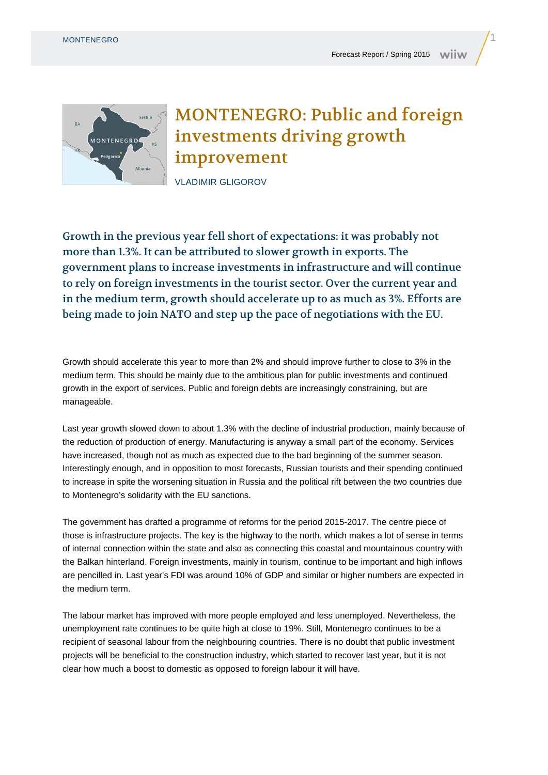

## MONTENEGRO: Public and foreign investments driving growth improvement

VLADIMIR GLIGOROV

Growth in the previous year fell short of expectations: it was probably not more than 1.3%. It can be attributed to slower growth in exports. The government plans to increase investments in infrastructure and will continue to rely on foreign investments in the tourist sector. Over the current year and in the medium term, growth should accelerate up to as much as 3%. Efforts are being made to join NATO and step up the pace of negotiations with the EU.

Growth should accelerate this year to more than 2% and should improve further to close to 3% in the medium term. This should be mainly due to the ambitious plan for public investments and continued growth in the export of services. Public and foreign debts are increasingly constraining, but are manageable.

Last year growth slowed down to about 1.3% with the decline of industrial production, mainly because of the reduction of production of energy. Manufacturing is anyway a small part of the economy. Services have increased, though not as much as expected due to the bad beginning of the summer season. Interestingly enough, and in opposition to most forecasts, Russian tourists and their spending continued to increase in spite the worsening situation in Russia and the political rift between the two countries due to Montenegro's solidarity with the EU sanctions.

The government has drafted a programme of reforms for the period 2015-2017. The centre piece of those is infrastructure projects. The key is the highway to the north, which makes a lot of sense in terms of internal connection within the state and also as connecting this coastal and mountainous country with the Balkan hinterland. Foreign investments, mainly in tourism, continue to be important and high inflows are pencilled in. Last year's FDI was around 10% of GDP and similar or higher numbers are expected in the medium term.

The labour market has improved with more people employed and less unemployed. Nevertheless, the unemployment rate continues to be quite high at close to 19%. Still, Montenegro continues to be a recipient of seasonal labour from the neighbouring countries. There is no doubt that public investment projects will be beneficial to the construction industry, which started to recover last year, but it is not clear how much a boost to domestic as opposed to foreign labour it will have.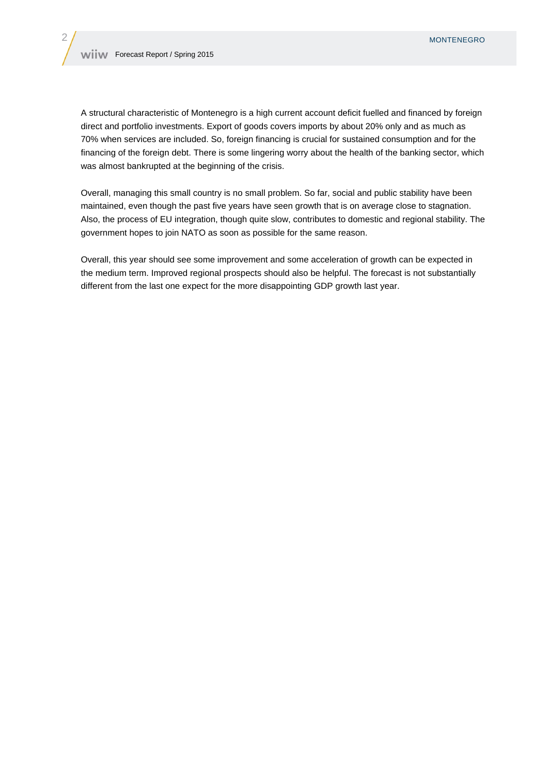A structural characteristic of Montenegro is a high current account deficit fuelled and financed by foreign direct and portfolio investments. Export of goods covers imports by about 20% only and as much as 70% when services are included. So, foreign financing is crucial for sustained consumption and for the financing of the foreign debt. There is some lingering worry about the health of the banking sector, which was almost bankrupted at the beginning of the crisis.

Overall, managing this small country is no small problem. So far, social and public stability have been maintained, even though the past five years have seen growth that is on average close to stagnation. Also, the process of EU integration, though quite slow, contributes to domestic and regional stability. The government hopes to join NATO as soon as possible for the same reason.

Overall, this year should see some improvement and some acceleration of growth can be expected in the medium term. Improved regional prospects should also be helpful. The forecast is not substantially different from the last one expect for the more disappointing GDP growth last year.